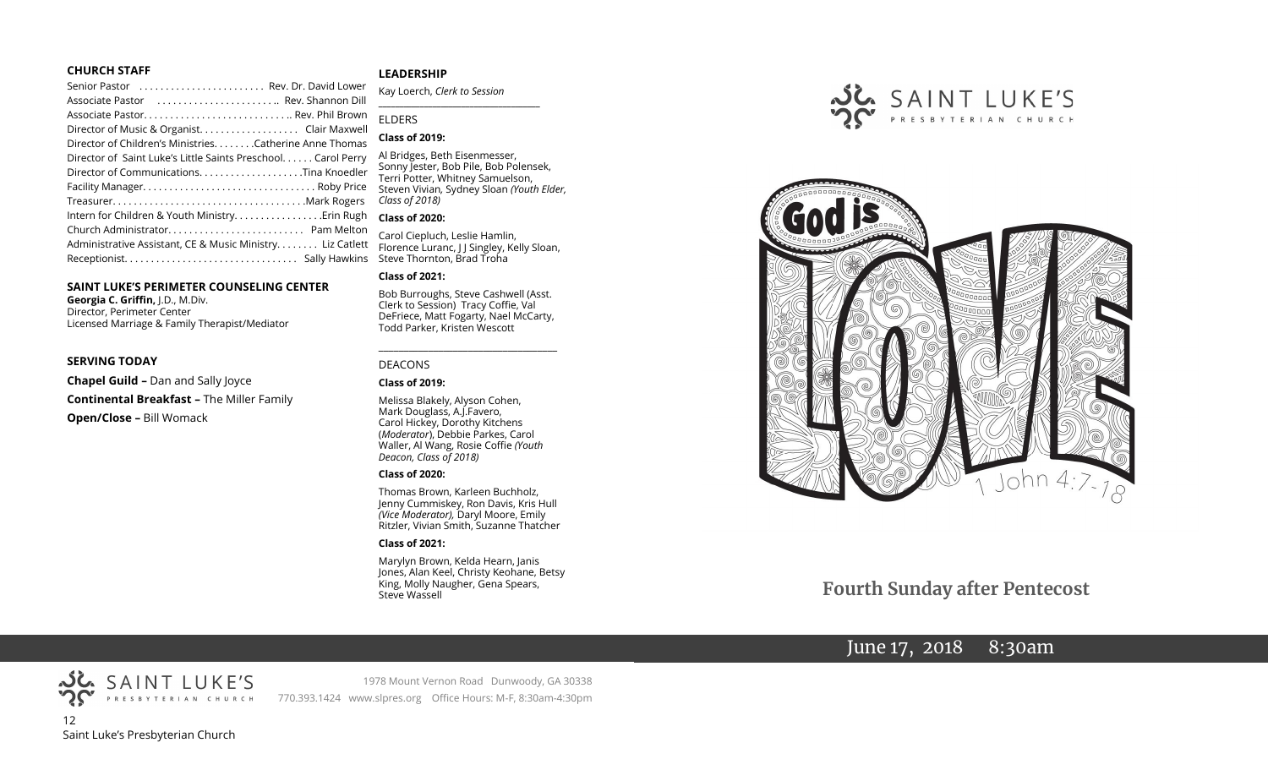#### **CHURCH STAFF**

| Senior Pastor  Rev. Dr. David Lower                          |
|--------------------------------------------------------------|
| Associate Pastor  Rev. Shannon Dill                          |
|                                                              |
| Director of Music & Organist. Clair Maxwell                  |
| Director of Children's MinistriesCatherine Anne Thomas       |
| Director of Saint Luke's Little Saints Preschool Carol Perry |
|                                                              |
|                                                              |
|                                                              |
| Intern for Children & Youth Ministry Erin Rugh               |
|                                                              |
| Administrative Assistant, CE & Music Ministry Liz Catlett    |
|                                                              |
|                                                              |

#### **SAINT LUKE'S PERIMETER COUNSELING CENTER**

**Georgia C. Griffin,** J.D., M.Div. Director, Perimeter Center Licensed Marriage & Family Therapist/Mediator

#### **SERVING TODAY**

**Chapel Guild –** Dan and Sally Joyce **Continental Breakfast –** The Miller Family **Open/Close –** Bill Womack

### **LEADERSHIP**

Kay Loerch, *Clerk to Session*  **\_\_\_\_\_\_\_\_\_\_\_\_\_\_\_\_\_\_\_\_\_\_\_\_\_\_\_\_\_\_\_\_\_\_\_\_\_\_\_**

#### **ELDERS**

#### **Class of 2019:**

Al Bridges, Beth Eisenmesser, Sonny Jester, Bob Pile, Bob Polensek, Terri Potter, Whitney Samuelson, Steven Vivian*,* Sydney Sloan *(Youth Elder, Class of 2018)*

#### **Class of 2020:**

Carol Ciepluch, Leslie Hamlin, Florence Luranc, J J Singley, Kelly Sloan, Steve Thornton, Brad Troha

#### **Class of 2021:**

Bob Burroughs, Steve Cashwell (Asst. Clerk to Session) Tracy Coffie, Val DeFriece, Matt Fogarty, Nael McCarty, Todd Parker, Kristen Wescott

\_\_\_\_\_\_\_\_\_\_\_\_\_\_\_\_\_\_\_\_\_\_\_\_\_\_\_\_\_\_\_\_\_\_\_\_

#### DEACONS

#### **Class of 2019:**

Melissa Blakely, Alyson Cohen, Mark Douglass, A.J.Favero, Carol Hickey, Dorothy Kitchens (*Moderator*), Debbie Parkes, Carol Waller, Al Wang, Rosie Coffie *(Youth Deacon, Class of 2018)* 

#### **Class of 2020:**

Thomas Brown, Karleen Buchholz, Jenny Cummiskey, Ron Davis, Kris Hull *(Vice Moderator),* Daryl Moore, Emily Ritzler, Vivian Smith, Suzanne Thatcher

#### **Class of 2021:**

Marylyn Brown, Kelda Hearn, Janis Jones, Alan Keel, Christy Keohane, Betsy King, Molly Naugher, Gena Spears, Steve Wassell





# **Fourth Sunday after Pentecost**

# June 17, 2018 8:30am



1978 Mount Vernon Road Dunwoody, GA 30338

770.393.1424 www.slpres.org Office Hours: M-F, 8:30am-4:30pm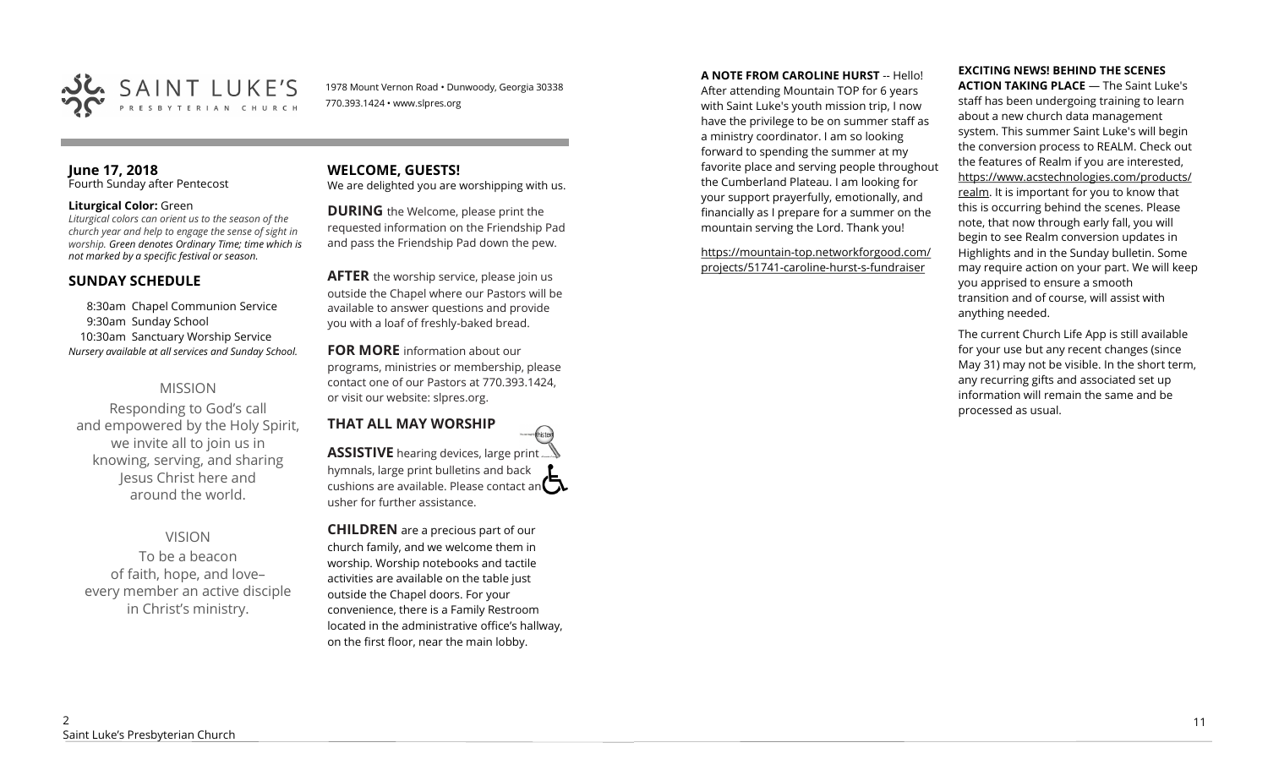

1978 Mount Vernon Road • Dunwoody, Georgia 30338 770.393.1424 • www.slpres.org

#### **June 17, 2018**  Fourth Sunday after Pentecost

### **Liturgical Color:** Green

*Liturgical colors can orient us to the season of the church year and help to engage the sense of sight in worship. Green denotes Ordinary Time; time which is not marked by a specific festival or season.*

# **SUNDAY SCHEDULE**

8:30am Chapel Communion Service 9:30am Sunday School 10:30am Sanctuary Worship Service *Nursery available at all services and Sunday School.* 

# MISSION

Responding to God's call and empowered by the Holy Spirit, we invite all to join us in knowing, serving, and sharing Jesus Christ here and around the world.

# VISION

To be a beacon of faith, hope, and love– every member an active disciple in Christ's ministry.

### **WELCOME, GUESTS!**  We are delighted you are worshipping with us.

**DURING** the Welcome, please print the requested information on the Friendship Pad and pass the Friendship Pad down the pew.

**AFTER** the worship service, please join us outside the Chapel where our Pastors will be available to answer questions and provide you with a loaf of freshly-baked bread.

**FOR MORE** information about our programs, ministries or membership, please contact one of our Pastors at 770.393.1424, or visit our website: slpres.org.

# **THAT ALL MAY WORSHIP**

**ASSISTIVE** hearing devices, large print... hymnals, large print bulletins and back cushions are available. Please contact an  $\square$ usher for further assistance.

thistex

**CHILDREN** are a precious part of our church family, and we welcome them in worship. Worship notebooks and tactile activities are available on the table just outside the Chapel doors. For your convenience, there is a Family Restroom located in the administrative office's hallway, on the first floor, near the main lobby.

**A NOTE FROM CAROLINE HURST** -- Hello! After attending Mountain TOP for 6 years with Saint Luke's youth mission trip, I now have the privilege to be on summer staff as a ministry coordinator. I am so looking forward to spending the summer at my favorite place and serving people throughout the Cumberland Plateau. I am looking for your support prayerfully, emotionally, and financially as I prepare for a summer on the mountain serving the Lord. Thank you!

https://mountain-[top.networkforgood.com/](https://mountain-top.networkforgood.com/projects/51741-caroline-hurst-s-fundraiser) [projects/51741](https://mountain-top.networkforgood.com/projects/51741-caroline-hurst-s-fundraiser)-caroline-hurst-s-fundraiser

# **EXCITING NEWS! BEHIND THE SCENES**

**ACTION TAKING PLACE** — The Saint Luke's staff has been undergoing training to learn about a new church data management system. This summer Saint Luke's will begin the conversion process to REALM. Check out the features of Realm if you are interested, https://www.acstechnologies.com/products/ realm. It is important for you to know that this is occurring behind the scenes. Please note, that now through early fall, you will begin to see Realm conversion updates in Highlights and in the Sunday bulletin. Some may require action on your part. We will keep you apprised to ensure a smooth transition and of course, will assist with anything needed.

The current Church Life App is still available for your use but any recent changes (since May 31) may not be visible. In the short term, any recurring gifts and associated set up information will remain the same and be processed as usual.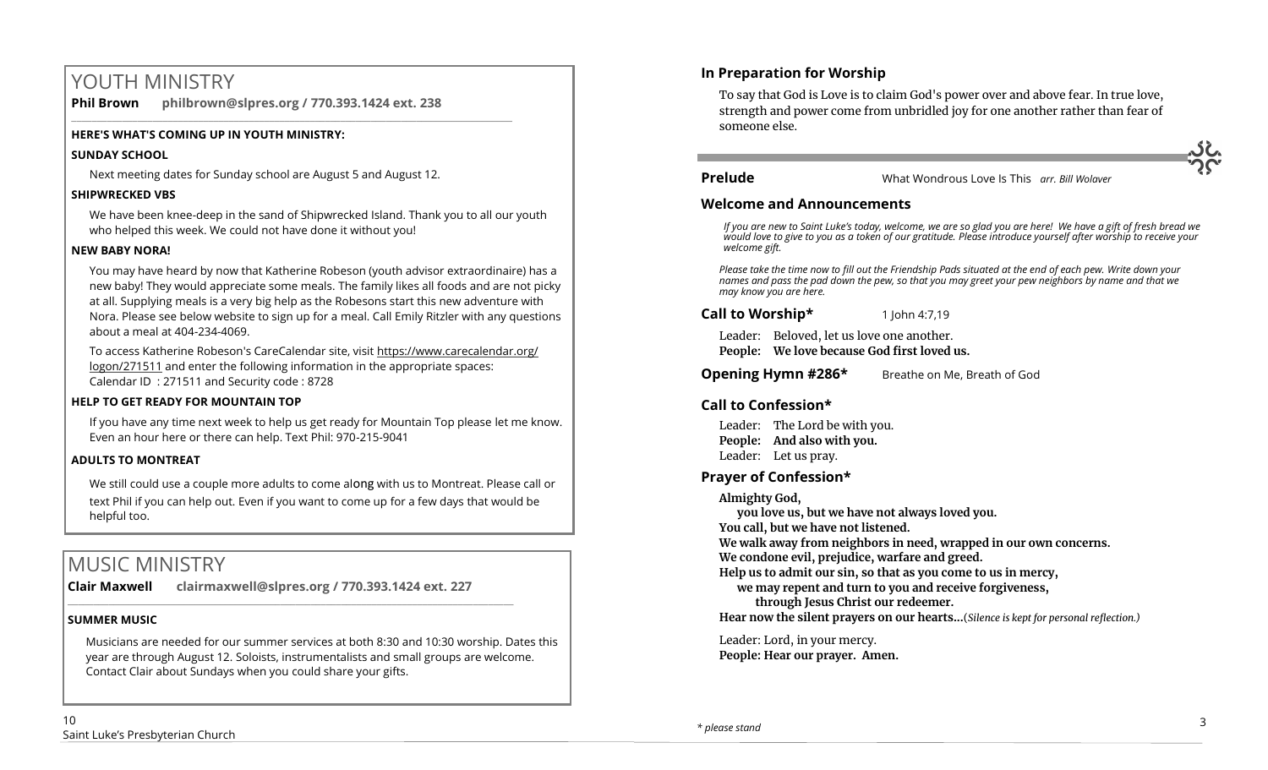# YOUTH MINISTRY

**Phil Brown philbrown@slpres.org / 770.393.1424 ext. 238**  \_\_\_\_\_\_\_\_\_\_\_\_\_\_\_\_\_\_\_\_\_\_\_\_\_\_\_\_\_\_\_\_\_\_\_\_\_\_\_\_\_\_\_\_\_\_\_\_\_\_\_\_\_\_\_\_\_\_\_\_\_\_\_\_\_\_\_\_\_\_\_\_\_\_\_\_\_\_\_\_\_\_\_\_\_\_\_

# **HERE'S WHAT'S COMING UP IN YOUTH MINISTRY:**

## **SUNDAY SCHOOL**

Next meeting dates for Sunday school are August 5 and August 12.

# **SHIPWRECKED VBS**

We have been knee-deep in the sand of Shipwrecked Island. Thank you to all our youth who helped this week. We could not have done it without you!

# **NEW BABY NORA!**

You may have heard by now that Katherine Robeson (youth advisor extraordinaire) has a new baby! They would appreciate some meals. The family likes all foods and are not picky at all. Supplying meals is a very big help as the Robesons start this new adventure with Nora. Please see below website to sign up for a meal. Call Emily Ritzler with any questions about a meal at 404-234-4069.

To access Katherine Robeson's CareCalendar site, visit [https://www.carecalendar.org/](https://www.carecalendar.org/logon/271511) [logon/271511](https://www.carecalendar.org/logon/271511) and enter the following information in the appropriate spaces: Calendar ID : 271511 and Security code : 8728

# **HELP TO GET READY FOR MOUNTAIN TOP**

If you have any time next week to help us get ready for Mountain Top please let me know. Even an hour here or there can help. Text Phil: 970-215-9041

# **ADULTS TO MONTREAT**

We still could use a couple more adults to come along with us to Montreat. Please call or text Phil if you can help out. Even if you want to come up for a few days that would be helpful too.

# MUSIC MINISTRY

**Clair Maxwell clairmaxwell@slpres.org / 770.393.1424 ext. 227** 

 $\_$  ,  $\_$  ,  $\_$  ,  $\_$  ,  $\_$  ,  $\_$  ,  $\_$  ,  $\_$  ,  $\_$  ,  $\_$  ,  $\_$  ,  $\_$  ,  $\_$  ,  $\_$  ,  $\_$  ,  $\_$  ,  $\_$  ,  $\_$  ,  $\_$ 

# **SUMMER MUSIC**

Musicians are needed for our summer services at both 8:30 and 10:30 worship. Dates this year are through August 12. Soloists, instrumentalists and small groups are welcome. Contact Clair about Sundays when you could share your gifts.

# **In Preparation for Worship**

To say that God is Love is to claim God's power over and above fear. In true love, strength and power come from unbridled joy for one another rather than fear of someone else.

## **Prelude** What Wondrous Love Is This *arr. Bill Wolaver*

# **Welcome and Announcements**

*If you are new to Saint Luke's today, welcome, we are so glad you are here! We have a gift of fresh bread we would love to give to you as a token of our gratitude. Please introduce yourself after worship to receive your welcome gift.*

*Please take the time now to fill out the Friendship Pads situated at the end of each pew. Write down your names and pass the pad down the pew, so that you may greet your pew neighbors by name and that we may know you are here.*

# **Call to Worship\*** 1 John 4:7.19

Leader: Beloved, let us love one another. **People: We love because God first loved us.**

**Opening Hymn #286\*** Breathe on Me, Breath of God

# **Call to Confession\***

Leader: The Lord be with you. **People: And also with you.** Leader: Let us pray.

# **Prayer of Confession\***

**Almighty God, you love us, but we have not always loved you.**

**You call, but we have not listened. We walk away from neighbors in need, wrapped in our own concerns. We condone evil, prejudice, warfare and greed. Help us to admit our sin, so that as you come to us in mercy, we may repent and turn to you and receive forgiveness, through Jesus Christ our redeemer. Hear now the silent prayers on our hearts...**(*Silence is kept for personal reflection.)*

Leader: Lord, in your mercy. **People: Hear our prayer. Amen.**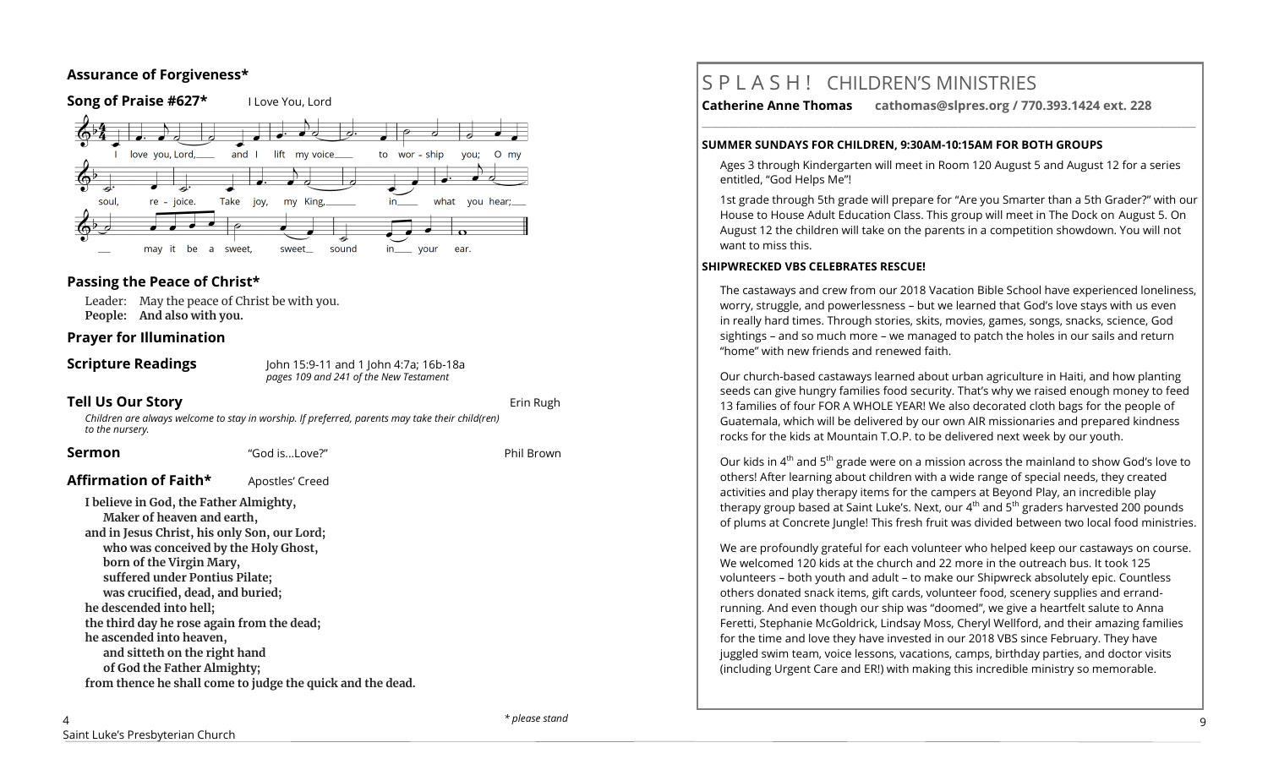# **Assurance of Forgiveness\***



# **Passing the Peace of Christ\***

Leader: May the peace of Christ be with you. **People: And also with you.** 

## **Prayer for Illumination**

| <b>Scripture Readings</b>                                                                                                                                                                                                                                                                                                                                                                                                                                                                         | John 15:9-11 and 1 John 4:7a; 16b-18a<br>pages 109 and 241 of the New Testament                 |                   |
|---------------------------------------------------------------------------------------------------------------------------------------------------------------------------------------------------------------------------------------------------------------------------------------------------------------------------------------------------------------------------------------------------------------------------------------------------------------------------------------------------|-------------------------------------------------------------------------------------------------|-------------------|
| <b>Tell Us Our Story</b><br>to the nursery.                                                                                                                                                                                                                                                                                                                                                                                                                                                       | Children are always welcome to stay in worship. If preferred, parents may take their child(ren) | Erin Rugh         |
| Sermon                                                                                                                                                                                                                                                                                                                                                                                                                                                                                            | "God isLove?"                                                                                   | <b>Phil Brown</b> |
| Affirmation of Faith*                                                                                                                                                                                                                                                                                                                                                                                                                                                                             | Apostles' Creed                                                                                 |                   |
| I believe in God, the Father Almighty,<br>Maker of heaven and earth,<br>and in Jesus Christ, his only Son, our Lord;<br>who was conceived by the Holy Ghost,<br>born of the Virgin Mary,<br>suffered under Pontius Pilate;<br>was crucified, dead, and buried;<br>he descended into hell;<br>the third day he rose again from the dead;<br>he ascended into heaven,<br>and sitteth on the right hand<br>of God the Father Almighty;<br>from thence he shall come to judge the quick and the dead. |                                                                                                 |                   |

# S P L A S H ! CHILDREN'S MINISTRIES

**Catherine Anne Thomas cathomas@slpres.org / 770.393.1424 ext. 228** 

## **SUMMER SUNDAYS FOR CHILDREN, 9:30AM-10:15AM FOR BOTH GROUPS**

Ages 3 through Kindergarten will meet in Room 120 August 5 and August 12 for a series entitled, "God Helps Me"!

**\_\_\_\_\_\_\_\_\_\_\_\_\_\_\_\_\_\_\_\_\_\_\_\_\_\_\_\_\_\_\_\_\_\_\_\_\_\_\_\_\_\_\_\_\_\_\_\_\_\_\_\_\_\_\_\_\_\_\_\_\_\_\_\_\_\_\_\_\_\_\_\_\_\_\_\_\_\_\_\_\_\_\_\_\_\_\_\_\_\_\_\_\_\_\_\_\_\_\_\_\_\_\_\_\_\_** 

1st grade through 5th grade will prepare for "Are you Smarter than a 5th Grader?" with our House to House Adult Education Class. This group will meet in The Dock on August 5. On August 12 the children will take on the parents in a competition showdown. You will not want to miss this.

## **SHIPWRECKED VBS CELEBRATES RESCUE!**

The castaways and crew from our 2018 Vacation Bible School have experienced loneliness, worry, struggle, and powerlessness – but we learned that God's love stays with us even in really hard times. Through stories, skits, movies, games, songs, snacks, science, God sightings – and so much more – we managed to patch the holes in our sails and return "home" with new friends and renewed faith.

Our church-based castaways learned about urban agriculture in Haiti, and how planting seeds can give hungry families food security. That's why we raised enough money to feed 13 families of four FOR A WHOLE YEAR! We also decorated cloth bags for the people of Guatemala, which will be delivered by our own AIR missionaries and prepared kindness rocks for the kids at Mountain T.O.P. to be delivered next week by our youth.

Our kids in  $4<sup>th</sup>$  and  $5<sup>th</sup>$  grade were on a mission across the mainland to show God's love to others! After learning about children with a wide range of special needs, they created activities and play therapy items for the campers at Beyond Play, an incredible play therapy group based at Saint Luke's. Next, our  $4<sup>th</sup>$  and  $5<sup>th</sup>$  graders harvested 200 pounds of plums at Concrete Jungle! This fresh fruit was divided between two local food ministries.

We are profoundly grateful for each volunteer who helped keep our castaways on course. We welcomed 120 kids at the church and 22 more in the outreach bus. It took 125 volunteers – both youth and adult – to make our Shipwreck absolutely epic. Countless others donated snack items, gift cards, volunteer food, scenery supplies and errandrunning. And even though our ship was "doomed", we give a heartfelt salute to Anna Feretti, Stephanie McGoldrick, Lindsay Moss, Cheryl Wellford, and their amazing families for the time and love they have invested in our 2018 VBS since February. They have juggled swim team, voice lessons, vacations, camps, birthday parties, and doctor visits (including Urgent Care and ER!) with making this incredible ministry so memorable.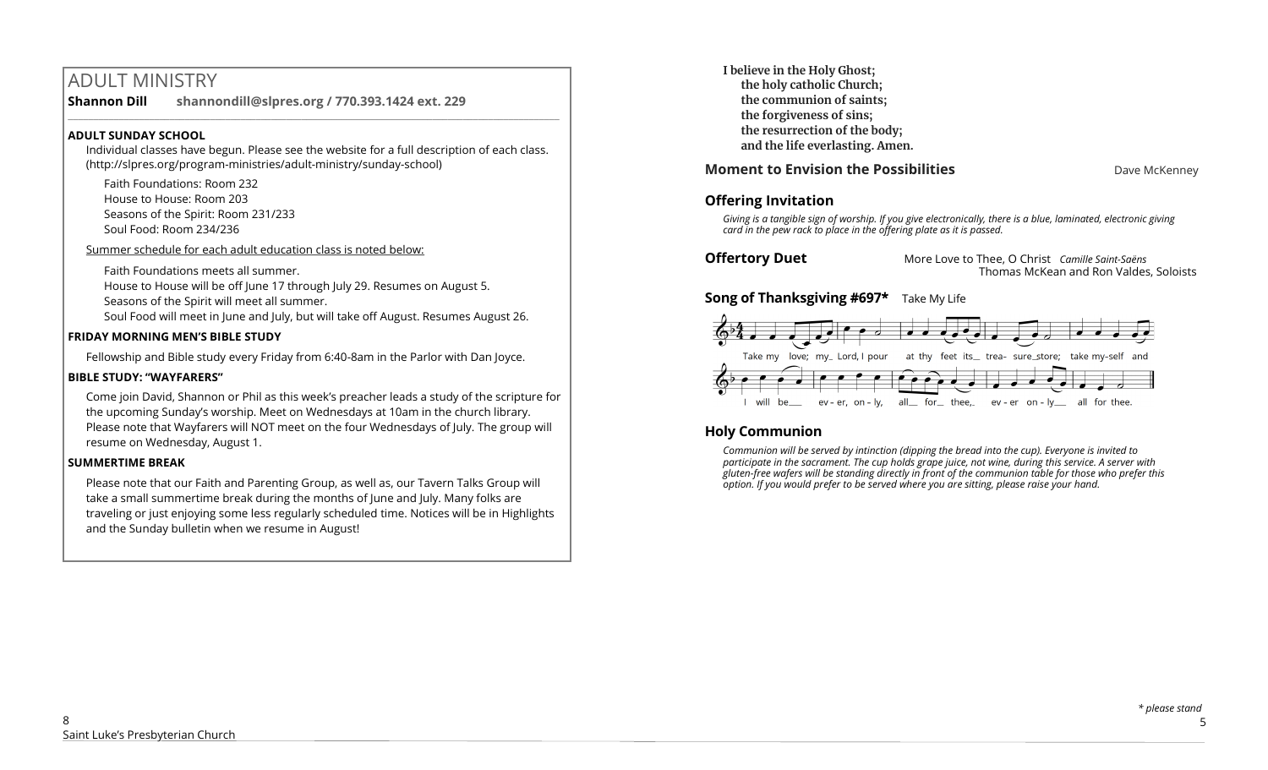# ADULT MINISTRY

**Shannon Dill shannondill@slpres.org / 770.393.1424 ext. 229**   $\_$  ,  $\_$  ,  $\_$  ,  $\_$  ,  $\_$  ,  $\_$  ,  $\_$  ,  $\_$  ,  $\_$  ,  $\_$  ,  $\_$  ,  $\_$  ,  $\_$  ,  $\_$  ,  $\_$  ,  $\_$  ,  $\_$  ,  $\_$  ,  $\_$ 

## **ADULT SUNDAY SCHOOL**

Individual classes have begun. Please see the website for a full description of each class. (http://slpres.org/program-ministries/adult-ministry/sunday-school)

Faith Foundations: Room 232 House to House: Room 203 Seasons of the Spirit: Room 231/233 Soul Food: Room 234/236

Summer schedule for each adult education class is noted below:

Faith Foundations meets all summer.

House to House will be off June 17 through July 29. Resumes on August 5.

Seasons of the Spirit will meet all summer.

Soul Food will meet in June and July, but will take off August. Resumes August 26.

# **FRIDAY MORNING MEN'S BIBLE STUDY**

Fellowship and Bible study every Friday from 6:40-8am in the Parlor with Dan Joyce.

# **BIBLE STUDY: "WAYFARERS"**

Come join David, Shannon or Phil as this week's preacher leads a study of the scripture for the upcoming Sunday's worship. Meet on Wednesdays at 10am in the church library. Please note that Wayfarers will NOT meet on the four Wednesdays of July. The group will resume on Wednesday, August 1.

# **SUMMERTIME BREAK**

Please note that our Faith and Parenting Group, as well as, our Tavern Talks Group will take a small summertime break during the months of June and July. Many folks are traveling or just enjoying some less regularly scheduled time. Notices will be in Highlights and the Sunday bulletin when we resume in August!

**I believe in the Holy Ghost; the holy catholic Church; the communion of saints; the forgiveness of sins; the resurrection of the body; and the life everlasting. Amen.**

# **Moment to Envision the Possibilities Dave McKenney**

# **Offering Invitation**

*Giving is a tangible sign of worship. If you give electronically, there is a blue, laminated, electronic giving card in the pew rack to place in the offering plate as it is passed.*

**Offertory Duet** More Love to Thee, O Christ *Camille Saint-Saëns* Thomas McKean and Ron Valdes, Soloists

# **Song of Thanksgiving #697\*** Take My Life



# **Holy Communion**

*Communion will be served by intinction (dipping the bread into the cup). Everyone is invited to participate in the sacrament. The cup holds grape juice, not wine, during this service. A server with gluten-free wafers will be standing directly in front of the communion table for those who prefer this option. If you would prefer to be served where you are sitting, please raise your hand.*